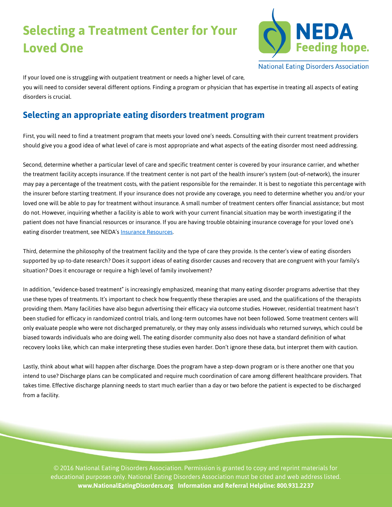## **Selecting a Treatment Center for Your Loved One**



**National Eating Disorders Association** 

If your loved one is struggling with outpatient treatment or needs a higher level of care, you will need to consider several different options. Finding a program or physician that has expertise in treating all aspects of eating disorders is crucial.

## **Selecting an appropriate eating disorders treatment program**

First, you will need to find a treatment program that meets your loved one's needs. Consulting with their current treatment providers should give you a good idea of what level of care is most appropriate and what aspects of the eating disorder most need addressing.

Second, determine whether a particular level of care and specific treatment center is covered by your insurance carrier, and whether the treatment facility accepts insurance. If the treatment center is not part of the health insurer's system (out-of-network), the insurer may pay a percentage of the treatment costs, with the patient responsible for the remainder. It is best to negotiate this percentage with the insurer before starting treatment. If your insurance does not provide any coverage, you need to determine whether you and/or your loved one will be able to pay for treatment without insurance. A small number of treatment centers offer financial assistance; but most do not. However, inquiring whether a facility is able to work with your current financial situation may be worth investigating if the patient does not have financial resources or insurance. If you are having trouble obtaining insurance coverage for your loved one's eating disorder treatment, see NEDA's Insurance [Resources.](http://www.nationaleatingdisorders.org/insurance-resources)

Third, determine the philosophy of the treatment facility and the type of care they provide. Is the center's view of eating disorders supported by up-to-date research? Does it support ideas of eating disorder causes and recovery that are congruent with your family's situation? Does it encourage or require a high level of family involvement?

In addition, "evidence-based treatment" is increasingly emphasized, meaning that many eating disorder programs advertise that they use these types of treatments. It's important to check how frequently these therapies are used, and the qualifications of the therapists providing them. Many facilities have also begun advertising their efficacy via outcome studies. However, residential treatment hasn't been studied for efficacy in randomized control trials, and long-term outcomes have not been followed. Some treatment centers will only evaluate people who were not discharged prematurely, or they may only assess individuals who returned surveys, which could be biased towards individuals who are doing well. The eating disorder community also does not have a standard definition of what recovery looks like, which can make interpreting these studies even harder. Don't ignore these data, but interpret them with caution.

Lastly, think about what will happen after discharge. Does the program have a step-down program or is there another one that you intend to use? Discharge plans can be complicated and require much coordination of care among different healthcare providers. That takes time. Effective discharge planning needs to start much earlier than a day or two before the patient is expected to be discharged from a facility.

© 2016 National Eating Disorders Association. Permission is granted to copy and reprint materials for educational purposes only. National Eating Disorders Association must be cited and web address listed. **www.NationalEatingDisorders.org Information and Referral Helpline: 800.931.2237**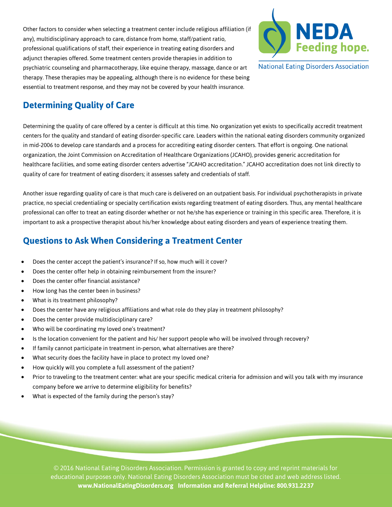Other factors to consider when selecting a treatment center include religious affiliation (if any), multidisciplinary approach to care, distance from home, staff/patient ratio, professional qualifications of staff, their experience in treating eating disorders and adjunct therapies offered. Some treatment centers provide therapies in addition to psychiatric counseling and pharmacotherapy, like equine therapy, massage, dance or art therapy. These therapies may be appealing, although there is no evidence for these being essential to treatment response, and they may not be covered by your health insurance.



**National Eating Disorders Association** 

## **Determining Quality of Care**

Determining the quality of care offered by a center is difficult at this time. No organization yet exists to specifically accredit treatment centers for the quality and standard of eating disorder-specific care. Leaders within the national eating disorders community organized in mid-2006 to develop care standards and a process for accrediting eating disorder centers. That effort is ongoing. One national organization, the Joint Commission on Accreditation of Healthcare Organizations (JCAHO), provides generic accreditation for healthcare facilities, and some eating disorder centers advertise "JCAHO accreditation." JCAHO accreditation does not link directly to quality of care for treatment of eating disorders; it assesses safety and credentials of staff.

Another issue regarding quality of care is that much care is delivered on an outpatient basis. For individual psychotherapists in private practice, no special credentialing or specialty certification exists regarding treatment of eating disorders. Thus, any mental healthcare professional can offer to treat an eating disorder whether or not he/she has experience or training in this specific area. Therefore, it is important to ask a prospective therapist about his/her knowledge about eating disorders and years of experience treating them.

## **Questions to Ask When Considering a Treatment Center**

- Does the center accept the patient's insurance? If so, how much will it cover?
- Does the center offer help in obtaining reimbursement from the insurer?
- Does the center offer financial assistance?
- How long has the center been in business?
- What is its treatment philosophy?
- Does the center have any religious affiliations and what role do they play in treatment philosophy?
- Does the center provide multidisciplinary care?
- Who will be coordinating my loved one's treatment?
- Is the location convenient for the patient and his/ her support people who will be involved through recovery?
- If family cannot participate in treatment in-person, what alternatives are there?
- What security does the facility have in place to protect my loved one?
- How quickly will you complete a full assessment of the patient?
- Prior to traveling to the treatment center: what are your specific medical criteria for admission and will you talk with my insurance company before we arrive to determine eligibility for benefits?
- What is expected of the family during the person's stay?

© 2016 National Eating Disorders Association. Permission is granted to copy and reprint materials for educational purposes only. National Eating Disorders Association must be cited and web address listed. **www.NationalEatingDisorders.org Information and Referral Helpline: 800.931.2237**